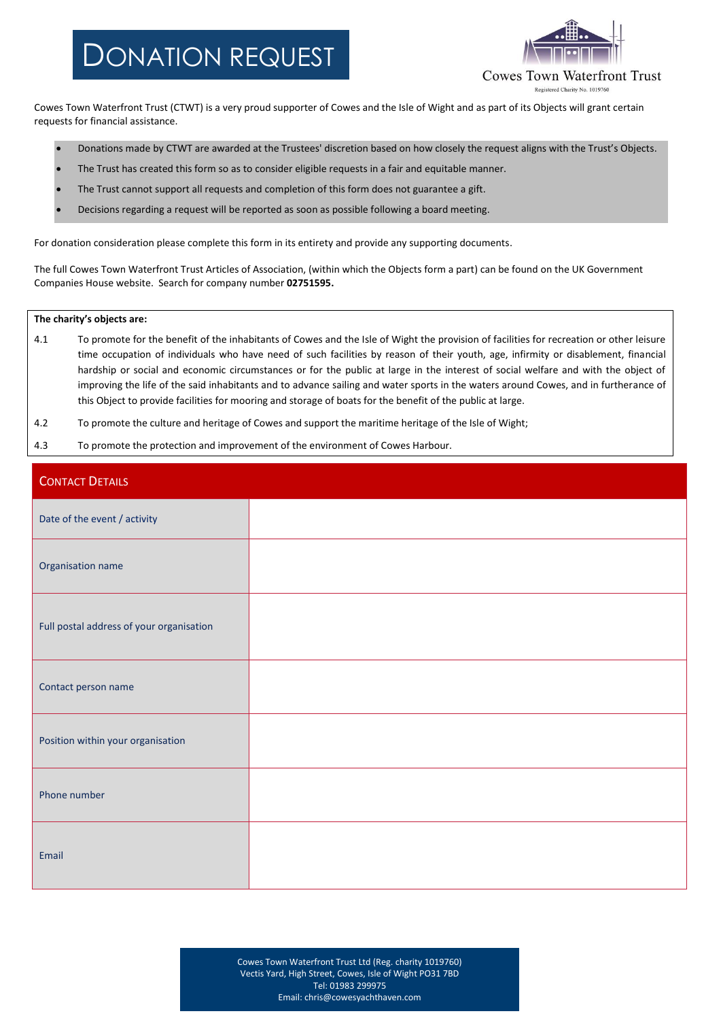## DONATION REQUEST



Cowes Town Waterfront Trust (CTWT) is a very proud supporter of Cowes and the Isle of Wight and as part of its Objects will grant certain requests for financial assistance.

- Donations made by CTWT are awarded at the Trustees' discretion based on how closely the request aligns with the Trust's Objects.
- The Trust has created this form so as to consider eligible requests in a fair and equitable manner.
- The Trust cannot support all requests and completion of this form does not guarantee a gift.
- Decisions regarding a request will be reported as soon as possible following a board meeting.

For donation consideration please complete this form in its entirety and provide any supporting documents.

The full Cowes Town Waterfront Trust Articles of Association, (within which the Objects form a part) can be found on the UK Government Companies House website. Search for company number **02751595.**

## **The charity's objects are:**

- 4.1 To promote for the benefit of the inhabitants of Cowes and the Isle of Wight the provision of facilities for recreation or other leisure time occupation of individuals who have need of such facilities by reason of their youth, age, infirmity or disablement, financial hardship or social and economic circumstances or for the public at large in the interest of social welfare and with the object of improving the life of the said inhabitants and to advance sailing and water sports in the waters around Cowes, and in furtherance of this Object to provide facilities for mooring and storage of boats for the benefit of the public at large.
- 4.2 To promote the culture and heritage of Cowes and support the maritime heritage of the Isle of Wight;
- 4.3 To promote the protection and improvement of the environment of Cowes Harbour.

| <b>CONTACT DETAILS</b>                   |  |
|------------------------------------------|--|
| Date of the event / activity             |  |
| Organisation name                        |  |
| Full postal address of your organisation |  |
| Contact person name                      |  |
| Position within your organisation        |  |
| Phone number                             |  |
| Email                                    |  |